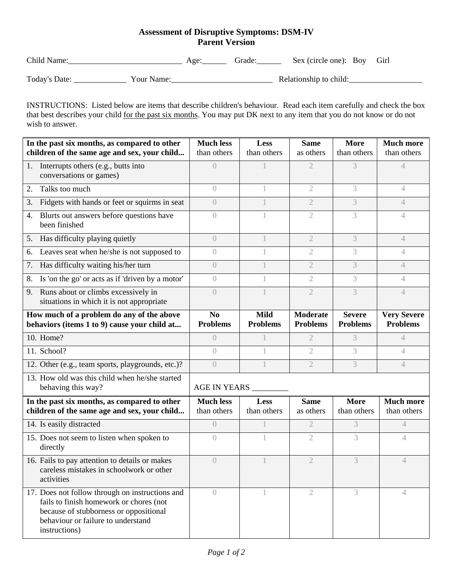## **Assessment of Disruptive Symptoms: DSM-IV Parent Version**

| Child Name:   |            | Age: | frade: | Sex (circle one): Boy Girl |  |
|---------------|------------|------|--------|----------------------------|--|
| Today's Date: | Your Name: |      |        | Relationship to child:     |  |

INSTRUCTIONS: Listed below are items that describe children's behaviour. Read each item carefully and check the box that best describes your child for the past six months. You may put DK next to any item that you do not know or do not wish to answer.

| In the past six months, as compared to other<br>children of the same age and sex, your child                                                                                                | <b>Much less</b><br>than others   | Less<br>than others            | <b>Same</b><br>as others           | <b>More</b><br>than others       | <b>Much more</b><br>than others       |  |
|---------------------------------------------------------------------------------------------------------------------------------------------------------------------------------------------|-----------------------------------|--------------------------------|------------------------------------|----------------------------------|---------------------------------------|--|
| Interrupts others (e.g., butts into<br>1.<br>conversations or games)                                                                                                                        | $\left( \right)$                  |                                | $\overline{2}$                     | 3                                | $\overline{4}$                        |  |
| Talks too much<br>2.                                                                                                                                                                        | $\overline{0}$                    |                                | $\overline{2}$                     | 3                                | $\overline{4}$                        |  |
| Fidgets with hands or feet or squirms in seat<br>3.                                                                                                                                         | $\left( \right)$                  |                                | $\mathfrak{2}$                     | 3                                | $\overline{4}$                        |  |
| Blurts out answers before questions have<br>4.<br>been finished                                                                                                                             | $\bigcirc$                        |                                | 2                                  | 3                                | 4                                     |  |
| Has difficulty playing quietly<br>5.                                                                                                                                                        | $\left( \right)$                  |                                | $\mathfrak{2}$                     | 3                                | $\overline{4}$                        |  |
| Leaves seat when he/she is not supposed to<br>6.                                                                                                                                            | $\left( \right)$                  |                                | $\mathfrak{2}$                     | 3                                | $\overline{4}$                        |  |
| Has difficulty waiting his/her turn<br>7.                                                                                                                                                   | $\left( \right)$                  |                                | $\overline{2}$                     | 3                                | $\overline{4}$                        |  |
| 8.<br>Is 'on the go' or acts as if 'driven by a motor'                                                                                                                                      | $\left( \right)$                  |                                | $\overline{2}$                     | 3                                | $\overline{4}$                        |  |
| Runs about or climbs excessively in<br>9.<br>situations in which it is not appropriate                                                                                                      | $\bigcap$                         |                                | $\mathfrak{2}$                     | 3                                | $\overline{4}$                        |  |
| How much of a problem do any of the above<br>behaviors (items 1 to 9) cause your child at                                                                                                   | N <sub>0</sub><br><b>Problems</b> | <b>Mild</b><br><b>Problems</b> | <b>Moderate</b><br><b>Problems</b> | <b>Severe</b><br><b>Problems</b> | <b>Very Severe</b><br><b>Problems</b> |  |
| 10. Home?                                                                                                                                                                                   | $\left( \right)$                  |                                | 2                                  | 3                                | 4                                     |  |
| 11. School?                                                                                                                                                                                 | $\bigcirc$                        |                                | 2                                  | 3                                | $\overline{4}$                        |  |
| 12. Other (e.g., team sports, playgrounds, etc.)?                                                                                                                                           | $\sqrt{ }$                        |                                | $\mathfrak{2}$                     | 3                                | $\overline{4}$                        |  |
| 13. How old was this child when he/she started<br>behaving this way?                                                                                                                        | <b>AGE IN YEARS</b>               |                                |                                    |                                  |                                       |  |
| In the past six months, as compared to other<br>children of the same age and sex, your child                                                                                                | <b>Much less</b><br>than others   | Less<br>than others            | <b>Same</b><br>as others           | <b>More</b><br>than others       | <b>Much more</b><br>than others       |  |
| 14. Is easily distracted                                                                                                                                                                    | $\bigcap$                         |                                | $\mathfrak{2}$                     | 3                                | 4                                     |  |
| 15. Does not seem to listen when spoken to<br>directly                                                                                                                                      | $\bigcap$                         |                                | $\overline{2}$                     | 3                                | 4                                     |  |
| 16. Fails to pay attention to details or makes<br>careless mistakes in schoolwork or other<br>activities                                                                                    | $\left( \right)$                  |                                | $\overline{2}$                     | 3                                | 4                                     |  |
| 17. Does not follow through on instructions and<br>fails to finish homework or chores (not<br>because of stubborness or oppositional<br>behaviour or failure to understand<br>instructions) | $\left( \right)$                  |                                | 2                                  | 3                                | 4                                     |  |